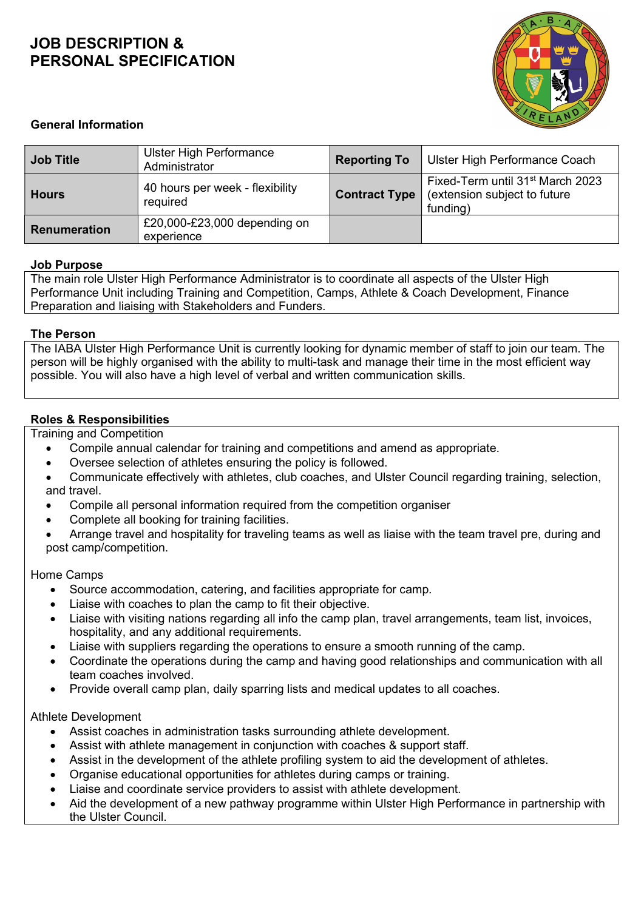

## General Information

| Job Title           | <b>Ulster High Performance</b><br>Administrator | <b>Reporting To</b>  | Ulster High Performance Coach                                                             |
|---------------------|-------------------------------------------------|----------------------|-------------------------------------------------------------------------------------------|
| <b>Hours</b>        | 40 hours per week - flexibility<br>required     | <b>Contract Type</b> | Fixed-Term until 31 <sup>st</sup> March 2023<br>(extension subject to future)<br>funding) |
| <b>Renumeration</b> | £20,000-£23,000 depending on<br>experience      |                      |                                                                                           |

### Job Purpose

The main role Ulster High Performance Administrator is to coordinate all aspects of the Ulster High Performance Unit including Training and Competition, Camps, Athlete & Coach Development, Finance Preparation and liaising with Stakeholders and Funders.

### The Person

The IABA Ulster High Performance Unit is currently looking for dynamic member of staff to join our team. The person will be highly organised with the ability to multi-task and manage their time in the most efficient way possible. You will also have a high level of verbal and written communication skills.

## Roles & Responsibilities

Training and Competition

- Compile annual calendar for training and competitions and amend as appropriate.
- Oversee selection of athletes ensuring the policy is followed.
- Communicate effectively with athletes, club coaches, and Ulster Council regarding training, selection, and travel.
- Compile all personal information required from the competition organiser
- Complete all booking for training facilities.
- Arrange travel and hospitality for traveling teams as well as liaise with the team travel pre, during and post camp/competition.

#### Home Camps

- Source accommodation, catering, and facilities appropriate for camp.
- Liaise with coaches to plan the camp to fit their objective.
- Liaise with visiting nations regarding all info the camp plan, travel arrangements, team list, invoices, hospitality, and any additional requirements.
- Liaise with suppliers regarding the operations to ensure a smooth running of the camp.
- Coordinate the operations during the camp and having good relationships and communication with all team coaches involved.
- Provide overall camp plan, daily sparring lists and medical updates to all coaches.

### Athlete Development

- Assist coaches in administration tasks surrounding athlete development.
- Assist with athlete management in conjunction with coaches & support staff.
- Assist in the development of the athlete profiling system to aid the development of athletes.
- Organise educational opportunities for athletes during camps or training.
- Liaise and coordinate service providers to assist with athlete development.
- Aid the development of a new pathway programme within Ulster High Performance in partnership with the Ulster Council.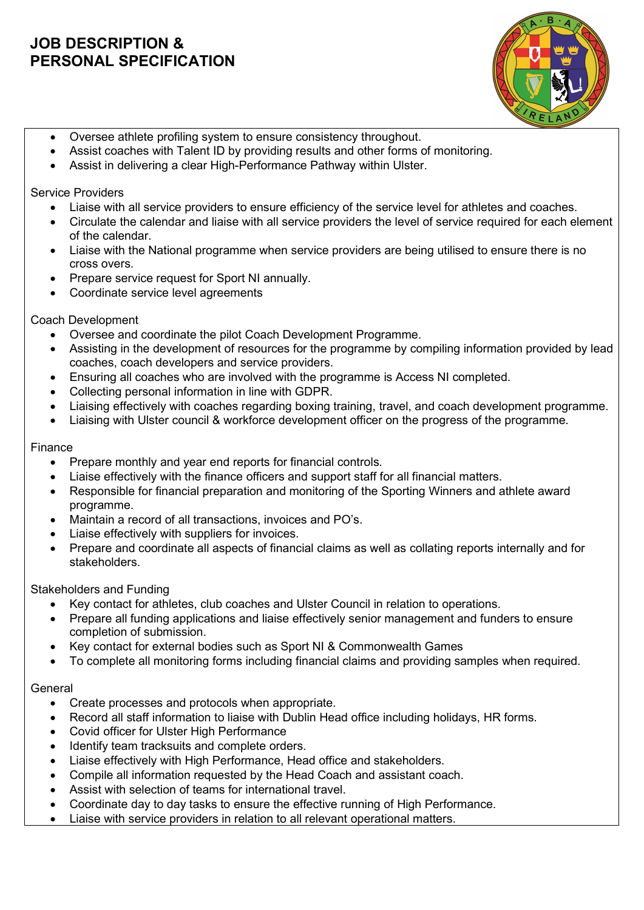

- Oversee athlete profiling system to ensure consistency throughout.
- Assist coaches with Talent ID by providing results and other forms of monitoring.
- Assist in delivering a clear High-Performance Pathway within Ulster.

## Service Providers

- Liaise with all service providers to ensure efficiency of the service level for athletes and coaches.
- Circulate the calendar and liaise with all service providers the level of service required for each element of the calendar.
- Liaise with the National programme when service providers are being utilised to ensure there is no cross overs.
- Prepare service request for Sport NI annually.
- Coordinate service level agreements

## Coach Development

- Oversee and coordinate the pilot Coach Development Programme.
- Assisting in the development of resources for the programme by compiling information provided by lead coaches, coach developers and service providers.
- Ensuring all coaches who are involved with the programme is Access NI completed.
- Collecting personal information in line with GDPR.
- Liaising effectively with coaches regarding boxing training, travel, and coach development programme.
- Liaising with Ulster council & workforce development officer on the progress of the programme.

## Finance

- Prepare monthly and year end reports for financial controls.
- Liaise effectively with the finance officers and support staff for all financial matters.
- Responsible for financial preparation and monitoring of the Sporting Winners and athlete award programme.
- Maintain a record of all transactions, invoices and PO's.
- Liaise effectively with suppliers for invoices.
- Prepare and coordinate all aspects of financial claims as well as collating reports internally and for stakeholders.

## Stakeholders and Funding

- Key contact for athletes, club coaches and Ulster Council in relation to operations.
- Prepare all funding applications and liaise effectively senior management and funders to ensure completion of submission.
- Key contact for external bodies such as Sport NI & Commonwealth Games
- To complete all monitoring forms including financial claims and providing samples when required.

### General

- Create processes and protocols when appropriate.
- Record all staff information to liaise with Dublin Head office including holidays, HR forms.
- Covid officer for Ulster High Performance
- Identify team tracksuits and complete orders.
- Liaise effectively with High Performance, Head office and stakeholders.
- Compile all information requested by the Head Coach and assistant coach.
- Assist with selection of teams for international travel.
- Coordinate day to day tasks to ensure the effective running of High Performance.
- Liaise with service providers in relation to all relevant operational matters.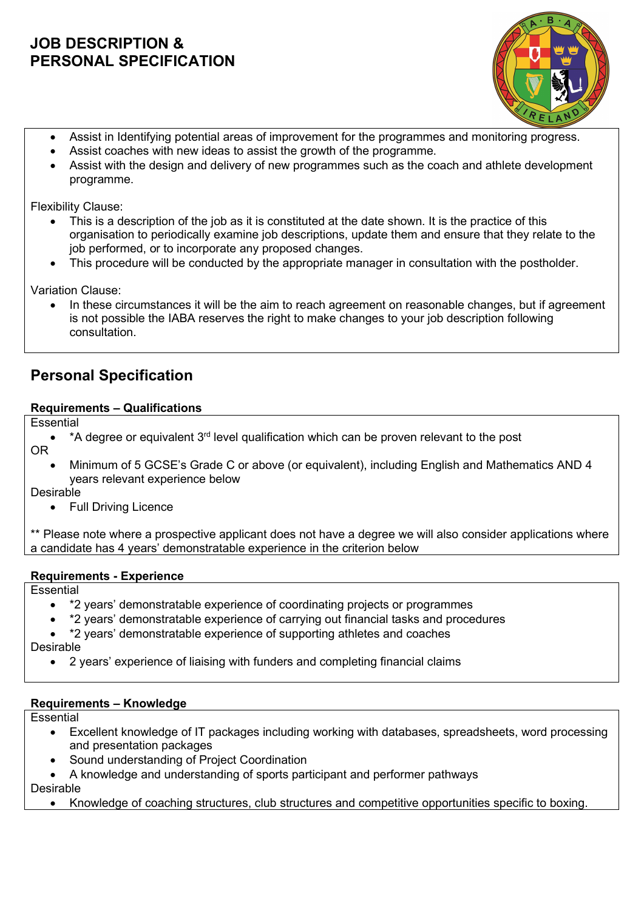

- Assist in Identifying potential areas of improvement for the programmes and monitoring progress.
- Assist coaches with new ideas to assist the growth of the programme.
- Assist with the design and delivery of new programmes such as the coach and athlete development programme.

Flexibility Clause:

- This is a description of the job as it is constituted at the date shown. It is the practice of this organisation to periodically examine job descriptions, update them and ensure that they relate to the job performed, or to incorporate any proposed changes.
- This procedure will be conducted by the appropriate manager in consultation with the postholder.

Variation Clause:

 In these circumstances it will be the aim to reach agreement on reasonable changes, but if agreement is not possible the IABA reserves the right to make changes to your job description following consultation.

# Personal Specification

## Requirements – Qualifications

**Essential** 

\*A degree or equivalent 3rd level qualification which can be proven relevant to the post

OR

 Minimum of 5 GCSE's Grade C or above (or equivalent), including English and Mathematics AND 4 years relevant experience below

Desirable

Full Driving Licence

\*\* Please note where a prospective applicant does not have a degree we will also consider applications where a candidate has 4 years' demonstratable experience in the criterion below

### Requirements - Experience

**Essential** 

- \*2 years' demonstratable experience of coordinating projects or programmes
- \*2 years' demonstratable experience of carrying out financial tasks and procedures
- \*2 years' demonstratable experience of supporting athletes and coaches

Desirable

2 years' experience of liaising with funders and completing financial claims

### Requirements – Knowledge

**Essential** 

- Excellent knowledge of IT packages including working with databases, spreadsheets, word processing and presentation packages
- Sound understanding of Project Coordination
- A knowledge and understanding of sports participant and performer pathways

Desirable

Knowledge of coaching structures, club structures and competitive opportunities specific to boxing.